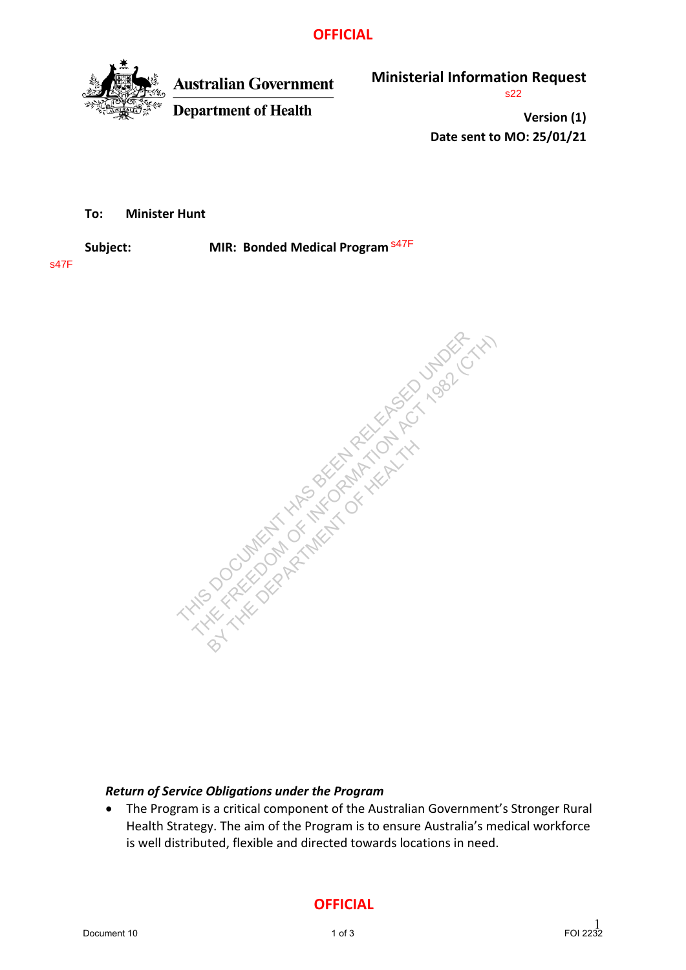## **OFFICIAL**



**Australian Government Department of Health** 

**Ministerial Information Request**

s22

**Version (1) Date sent to MO: 25/01/21**

**To: Minister Hunt**

**Subject: MIR: Bonded Medical Program** s47F

s47F



## *Return of Service Obligations under the Program*

• The Program is a critical component of the Australian Government's Stronger Rural Health Strategy. The aim of the Program is to ensure Australia's medical workforce is well distributed, flexible and directed towards locations in need.

**OFFICIAL**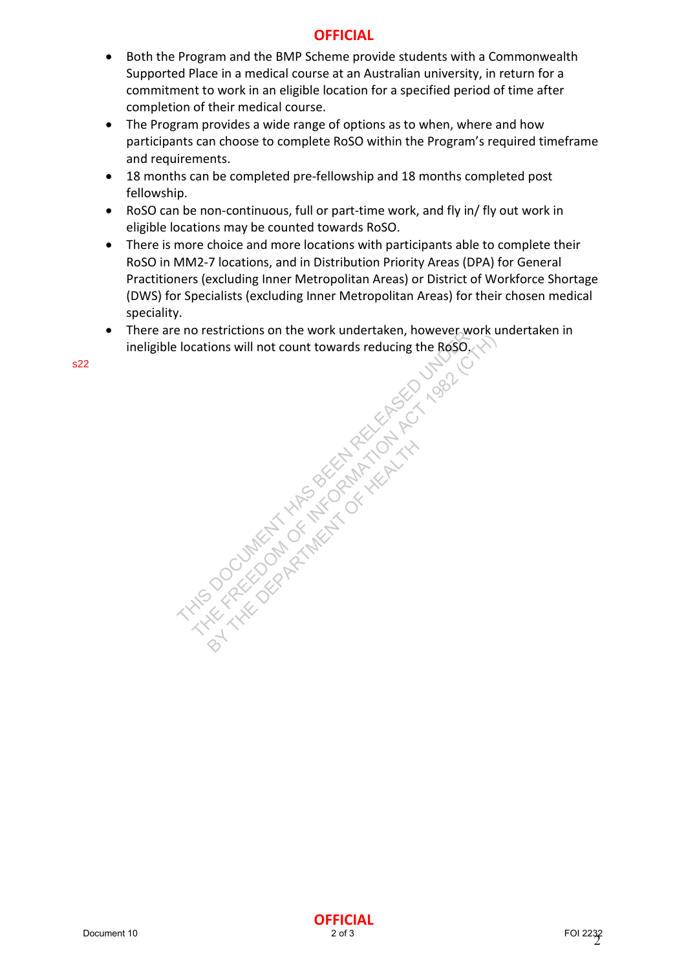# **OFFICIAL**

- Both the Program and the BMP Scheme provide students with a Commonwealth Supported Place in a medical course at an Australian university, in return for a commitment to work in an eligible location for a specified period of time after completion of their medical course.
- The Program provides a wide range of options as to when, where and how participants can choose to complete RoSO within the Program's required timeframe and requirements.
- 18 months can be completed pre-fellowship and 18 months completed post fellowship.
- RoSO can be non-continuous, full or part-time work, and fly in/ fly out work in eligible locations may be counted towards RoSO.
- There is more choice and more locations with participants able to complete their RoSO in MM2-7 locations, and in Distribution Priority Areas (DPA) for General Practitioners (excluding Inner Metropolitan Areas) or District of Workforce Shortage (DWS) for Specialists (excluding Inner Metropolitan Areas) for their chosen medical speciality.
- There are no restrictions on the work undertaken, however work undertaken in ineligible locations will not count towards reducing the RoSO.

Document 10<br>Document 10<br>Document 10<br>Document 10<br>Document 10<br>Document 10<br>Document 10<br>Document 10<br>Document 10<br>Document 10<br>Document 10<br>Document 10<br>Document 10<br>Document 10<br>Document 10<br>Document 10<br>Document 10<br>Document 10<br>Docume BY THE DEPARTMENT OF HEALTH AND

s22